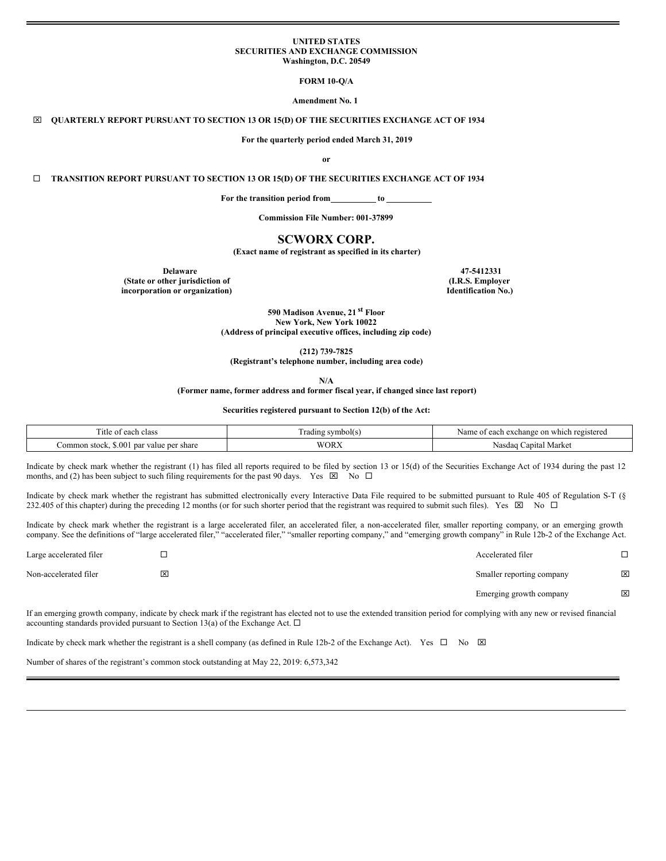#### **UNITED STATES SECURITIES AND EXCHANGE COMMISSION Washington, D.C. 20549**

**FORM 10-Q/A**

**Amendment No. 1**

### x **QUARTERLY REPORT PURSUANT TO SECTION 13 OR 15(D) OF THE SECURITIES EXCHANGE ACT OF 1934**

**For the quarterly period ended March 31, 2019**

**or**

¨ **TRANSITION REPORT PURSUANT TO SECTION 13 OR 15(D) OF THE SECURITIES EXCHANGE ACT OF 1934**

**For the transition period from to**

**Commission File Number: 001-37899**

# **SCWORX CORP.**

**(Exact name of registrant as specified in its charter)**

**Delaware 47-5412331 (State or other jurisdiction of incorporation or organization)**

**(I.R.S. Employer Identification No.)**

**590 Madison Avenue, 21 st Floor New York, New York 10022 (Address of principal executive offices, including zip code)**

**(212) 739-7825**

**(Registrant's telephone number, including area code)**

**N/A**

**(Former name, former address and former fiscal year, if changed since last report)**

**Securities registered pursuant to Section 12(b) of the Act:**

| m.<br>clas<br>1tl<br>$\alpha$<br>$^{\rm \alpha}$<br>ابته | olts<br>which registered<br>exchange<br>ig svmb<br>each<br>on<br>Name<br>. radın |                                        |
|----------------------------------------------------------|----------------------------------------------------------------------------------|----------------------------------------|
| .s.OO*<br>.ommo<br>share<br>stoch<br>par valu<br>/w.     | <b>WORY</b>                                                                      | Marke <sup>.</sup><br>apıtal<br>Nasdag |

Indicate by check mark whether the registrant (1) has filed all reports required to be filed by section 13 or 15(d) of the Securities Exchange Act of 1934 during the past 12 months, and (2) has been subject to such filing requirements for the past 90 days. Yes  $\boxtimes$  No  $\Box$ 

Indicate by check mark whether the registrant has submitted electronically every Interactive Data File required to be submitted pursuant to Rule 405 of Regulation S-T (§ 232.405 of this chapter) during the preceding 12 months (or for such shorter period that the registrant was required to submit such files). Yes  $\boxtimes$  No  $\Box$ 

Indicate by check mark whether the registrant is a large accelerated filer, an accelerated filer, a non-accelerated filer, smaller reporting company, or an emerging growth company. See the definitions of "large accelerated filer," "accelerated filer," "smaller reporting company," and "emerging growth company" in Rule 12b-2 of the Exchange Act.

| Large accelerated filer | ᅳ | Accelerated filer         | ـ            |
|-------------------------|---|---------------------------|--------------|
| Non-accelerated filer   | × | Smaller reporting company | ⊠            |
|                         |   | Emerging growth company   | $\mathbf{x}$ |

If an emerging growth company, indicate by check mark if the registrant has elected not to use the extended transition period for complying with any new or revised financial accounting standards provided pursuant to Section 13(a) of the Exchange Act.  $\Box$ 

Indicate by check mark whether the registrant is a shell company (as defined in Rule 12b-2 of the Exchange Act). Yes  $\Box$  No  $\boxtimes$ 

Number of shares of the registrant's common stock outstanding at May 22, 2019: 6,573,342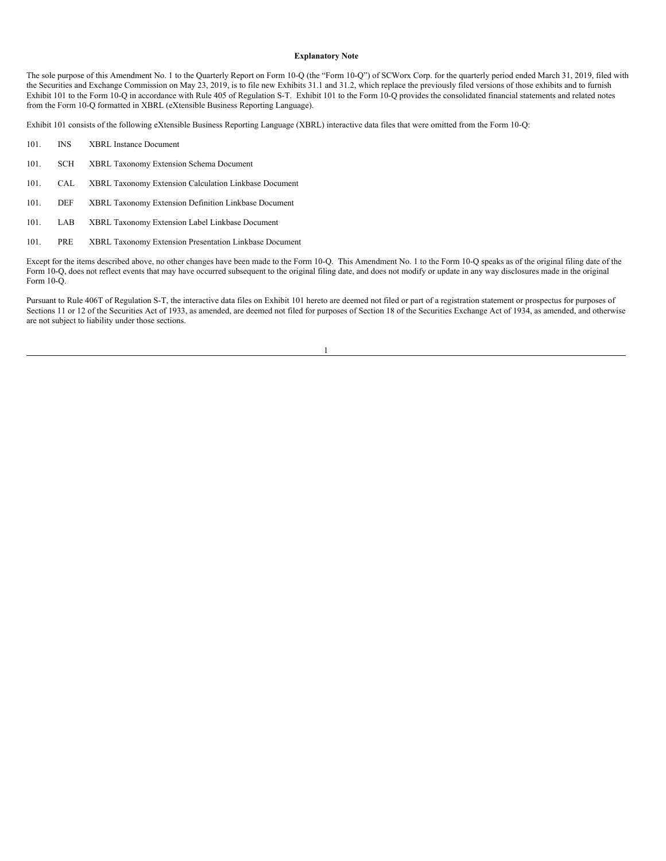#### **Explanatory Note**

The sole purpose of this Amendment No. 1 to the Quarterly Report on Form 10-Q (the "Form 10-Q") of SCWorx Corp. for the quarterly period ended March 31, 2019, filed with the Securities and Exchange Commission on May 23, 2019, is to file new Exhibits 31.1 and 31.2, which replace the previously filed versions of those exhibits and to furnish Exhibit 101 to the Form 10-Q in accordance with Rule 405 of Regulation S-T. Exhibit 101 to the Form 10-Q provides the consolidated financial statements and related notes from the Form 10-Q formatted in XBRL (eXtensible Business Reporting Language).

Exhibit 101 consists of the following eXtensible Business Reporting Language (XBRL) interactive data files that were omitted from the Form 10-Q:

- 101. INS XBRL Instance Document
- 101. SCH XBRL Taxonomy Extension Schema Document
- 101. CAL XBRL Taxonomy Extension Calculation Linkbase Document
- 101. DEF XBRL Taxonomy Extension Definition Linkbase Document
- 101. LAB XBRL Taxonomy Extension Label Linkbase Document
- 101. PRE XBRL Taxonomy Extension Presentation Linkbase Document

Except for the items described above, no other changes have been made to the Form 10-O. This Amendment No. 1 to the Form 10-O speaks as of the original filing date of the Form 10-Q, does not reflect events that may have occurred subsequent to the original filing date, and does not modify or update in any way disclosures made in the original Form 10-Q.

Pursuant to Rule 406T of Regulation S-T, the interactive data files on Exhibit 101 hereto are deemed not filed or part of a registration statement or prospectus for purposes of Sections 11 or 12 of the Securities Act of 1933, as amended, are deemed not filed for purposes of Section 18 of the Securities Exchange Act of 1934, as amended, and otherwise are not subject to liability under those sections.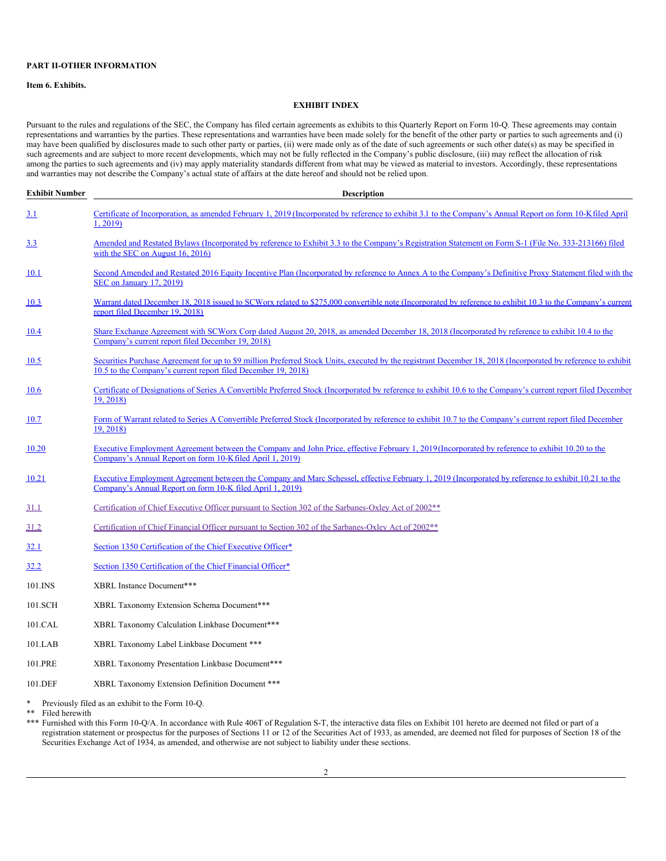### **PART II-OTHER INFORMATION**

### **Item 6. Exhibits.**

### **EXHIBIT INDEX**

Pursuant to the rules and regulations of the SEC, the Company has filed certain agreements as exhibits to this Quarterly Report on Form 10-Q. These agreements may contain representations and warranties by the parties. These representations and warranties have been made solely for the benefit of the other party or parties to such agreements and (i) may have been qualified by disclosures made to such other party or parties, (ii) were made only as of the date of such agreements or such other date(s) as may be specified in such agreements and are subject to more recent developments, which may not be fully reflected in the Company's public disclosure, (iii) may reflect the allocation of risk among the parties to such agreements and (iv) may apply materiality standards different from what may be viewed as material to investors. Accordingly, these representations and warranties may not describe the Company's actual state of affairs at the date hereof and should not be relied upon.

| <b>Exhibit Number</b> | <b>Description</b>                                                                                                                                                                                                             |
|-----------------------|--------------------------------------------------------------------------------------------------------------------------------------------------------------------------------------------------------------------------------|
| 3.1                   | Certificate of Incorporation, as amended February 1, 2019 (Incorporated by reference to exhibit 3.1 to the Company's Annual Report on form 10-Kfiled April<br>.2019)                                                           |
| 3.3                   | Amended and Restated Bylaws (Incorporated by reference to Exhibit 3.3 to the Company's Registration Statement on Form S-1 (File No. 333-213166) filed<br>with the SEC on August $16, 2016$                                     |
| <u>10.1</u>           | Second Amended and Restated 2016 Equity Incentive Plan (Incorporated by reference to Annex A to the Company's Definitive Proxy Statement filed with the<br><b>SEC</b> on January 17, 2019)                                     |
| 10.3                  | Warrant dated December 18, 2018 issued to SCWorx related to \$275,000 convertible note (Incorporated by reference to exhibit 10.3 to the Company's current<br>report filed December 19, 2018)                                  |
| 10.4                  | Share Exchange Agreement with SCWorx Corp dated August 20, 2018, as amended December 18, 2018 (Incorporated by reference to exhibit 10.4 to the<br>Company's current report filed December 19, 2018)                           |
| 10.5                  | Securities Purchase Agreement for up to \$9 million Preferred Stock Units, executed by the registrant December 18, 2018 (Incorporated by reference to exhibit<br>10.5 to the Company's current report filed December 19, 2018) |
| 10.6                  | Certificate of Designations of Series A Convertible Preferred Stock (Incorporated by reference to exhibit 10.6 to the Company's current report filed December<br>19, 2018)                                                     |
| 10.7                  | Form of Warrant related to Series A Convertible Preferred Stock (Incorporated by reference to exhibit 10.7 to the Company's current report filed December<br>19, 2018)                                                         |
| 10.20                 | Executive Employment Agreement between the Company and John Price, effective February 1, 2019 (Incorporated by reference to exhibit 10.20 to the<br>Company's Annual Report on form 10-K filed April 1, 2019)                  |
| <u>10.21</u>          | Executive Employment Agreement between the Company and Marc Schessel, effective February 1, 2019 (Incorporated by reference to exhibit 10.21 to the<br>Company's Annual Report on form 10-K filed April 1, 2019)               |
| 31.1                  | Certification of Chief Executive Officer pursuant to Section 302 of the Sarbanes-Oxley Act of 2002 <sup>**</sup>                                                                                                               |
| <u>31.2</u>           | Certification of Chief Financial Officer pursuant to Section 302 of the Sarbanes-Oxley Act of 2002 <sup>**</sup>                                                                                                               |
| 32.1                  | Section 1350 Certification of the Chief Executive Officer*                                                                                                                                                                     |
| 32.2                  | Section 1350 Certification of the Chief Financial Officer*                                                                                                                                                                     |
| 101.INS               | XBRL Instance Document***                                                                                                                                                                                                      |
| 101.SCH               | XBRL Taxonomy Extension Schema Document***                                                                                                                                                                                     |
| 101.CAL               | XBRL Taxonomy Calculation Linkbase Document***                                                                                                                                                                                 |
| 101.LAB               | XBRL Taxonomy Label Linkbase Document ***                                                                                                                                                                                      |
| 101.PRE               | XBRL Taxonomy Presentation Linkbase Document***                                                                                                                                                                                |
|                       | .                                                                                                                                                                                                                              |

101.DEF XBRL Taxonomy Extension Definition Document \*\*\*

Previously filed as an exhibit to the Form 10-Q.

Filed herewith

\*\*\* Furnished with this Form 10-Q/A. In accordance with Rule 406T of Regulation S-T, the interactive data files on Exhibit 101 hereto are deemed not filed or part of a registration statement or prospectus for the purposes of Sections 11 or 12 of the Securities Act of 1933, as amended, are deemed not filed for purposes of Section 18 of the Securities Exchange Act of 1934, as amended, and otherwise are not subject to liability under these sections.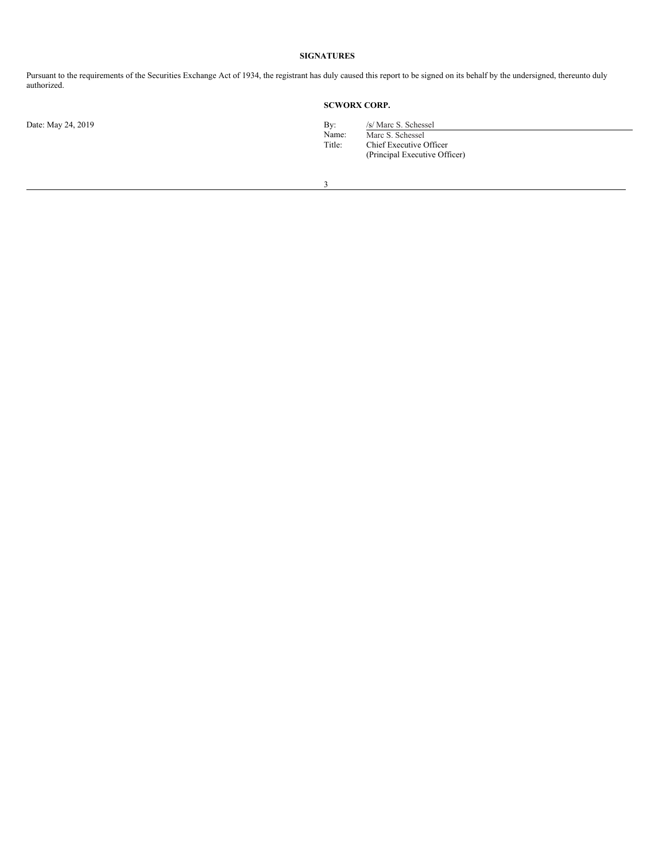## **SIGNATURES**

Pursuant to the requirements of the Securities Exchange Act of 1934, the registrant has duly caused this report to be signed on its behalf by the undersigned, thereunto duly authorized.

Date: May 24, 2019 By: *By* Marc S. Schessell, Marc S. Schessell, Marc S. Schessell, Marc S. Schessell, Marc S. Schessell, Marc S. Schessell, Marc S. Schessell, Marc S. Schessell, Marc S. Schessell, Marc S. Schessell, Marc

# **SCWORX CORP.**

| Bv:    | /s/ Marc S. Schessel          |
|--------|-------------------------------|
| Name:  | Marc S. Schessel              |
| Title: | Chief Executive Officer       |
|        | (Principal Executive Officer) |
|        |                               |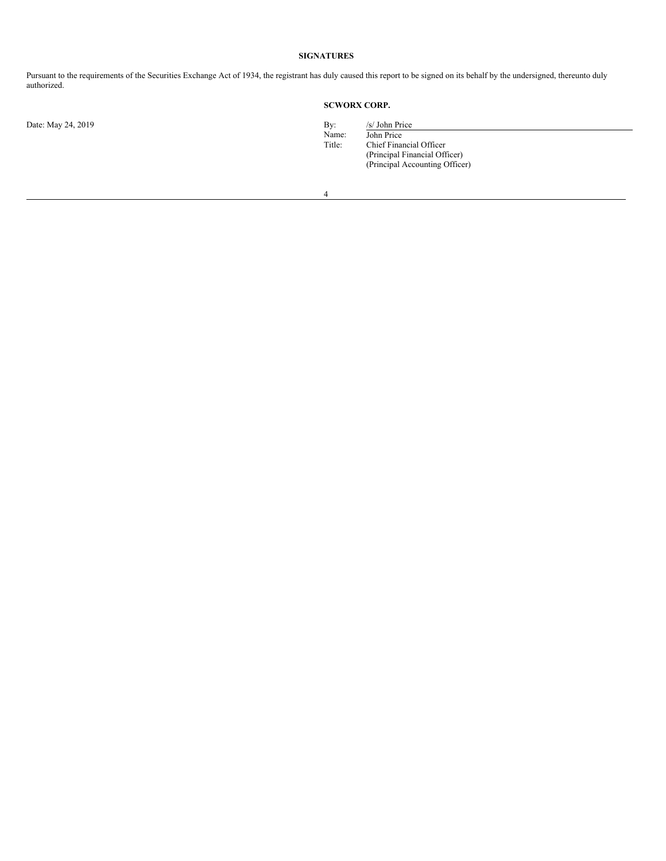# **SIGNATURES**

Pursuant to the requirements of the Securities Exchange Act of 1934, the registrant has duly caused this report to be signed on its behalf by the undersigned, thereunto duly authorized.

Date: May 24, 2019 By: *By*<br>Ni

# **SCWORX CORP.**

| By:    | /s/ John Price                 |  |
|--------|--------------------------------|--|
| Name:  | John Price                     |  |
| Title: | Chief Financial Officer        |  |
|        | (Principal Financial Officer)  |  |
|        | (Principal Accounting Officer) |  |
|        |                                |  |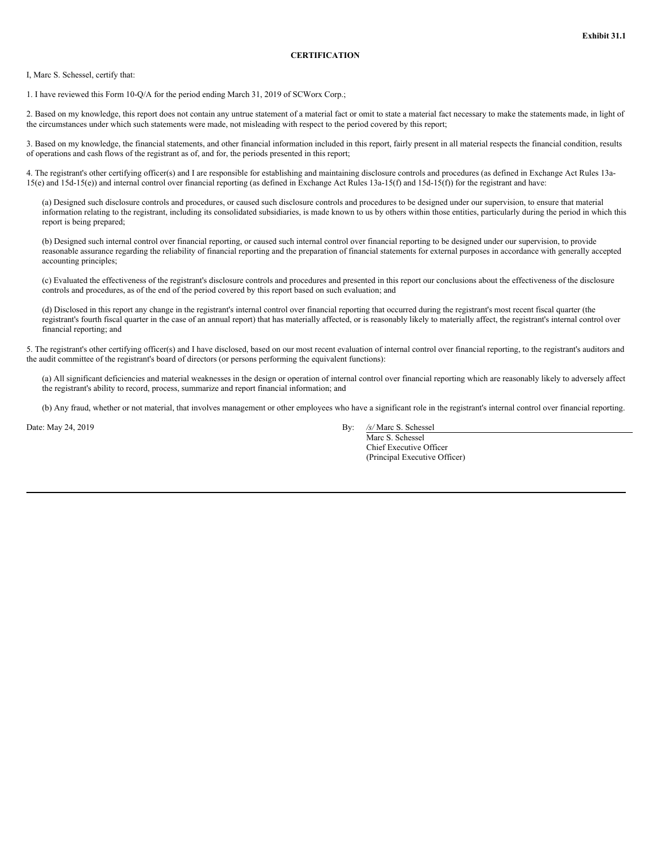### **CERTIFICATION**

#### <span id="page-5-0"></span>I, Marc S. Schessel, certify that:

1. I have reviewed this Form 10-Q/A for the period ending March 31, 2019 of SCWorx Corp.;

2. Based on my knowledge, this report does not contain any untrue statement of a material fact or omit to state a material fact necessary to make the statements made, in light of the circumstances under which such statements were made, not misleading with respect to the period covered by this report;

3. Based on my knowledge, the financial statements, and other financial information included in this report, fairly present in all material respects the financial condition, results of operations and cash flows of the registrant as of, and for, the periods presented in this report;

4. The registrant's other certifying officer(s) and I are responsible for establishing and maintaining disclosure controls and procedures (as defined in Exchange Act Rules 13a-15(e) and 15d-15(e)) and internal control over financial reporting (as defined in Exchange Act Rules 13a-15(f) and 15d-15(f)) for the registrant and have:

(a) Designed such disclosure controls and procedures, or caused such disclosure controls and procedures to be designed under our supervision, to ensure that material information relating to the registrant, including its consolidated subsidiaries, is made known to us by others within those entities, particularly during the period in which this report is being prepared;

(b) Designed such internal control over financial reporting, or caused such internal control over financial reporting to be designed under our supervision, to provide reasonable assurance regarding the reliability of financial reporting and the preparation of financial statements for external purposes in accordance with generally accepted accounting principles;

(c) Evaluated the effectiveness of the registrant's disclosure controls and procedures and presented in this report our conclusions about the effectiveness of the disclosure controls and procedures, as of the end of the period covered by this report based on such evaluation; and

(d) Disclosed in this report any change in the registrant's internal control over financial reporting that occurred during the registrant's most recent fiscal quarter (the registrant's fourth fiscal quarter in the case of an annual report) that has materially affected, or is reasonably likely to materially affect, the registrant's internal control over financial reporting; and

5. The registrant's other certifying officer(s) and I have disclosed, based on our most recent evaluation of internal control over financial reporting, to the registrant's auditors and the audit committee of the registrant's board of directors (or persons performing the equivalent functions):

(a) All significant deficiencies and material weaknesses in the design or operation of internal control over financial reporting which are reasonably likely to adversely affect the registrant's ability to record, process, summarize and report financial information; and

(b) Any fraud, whether or not material, that involves management or other employees who have a significant role in the registrant's internal control over financial reporting.

Date: May 24, 2019 **By:** */s/* Marc S. Schessel

Marc S. Schessel Chief Executive Officer (Principal Executive Officer)